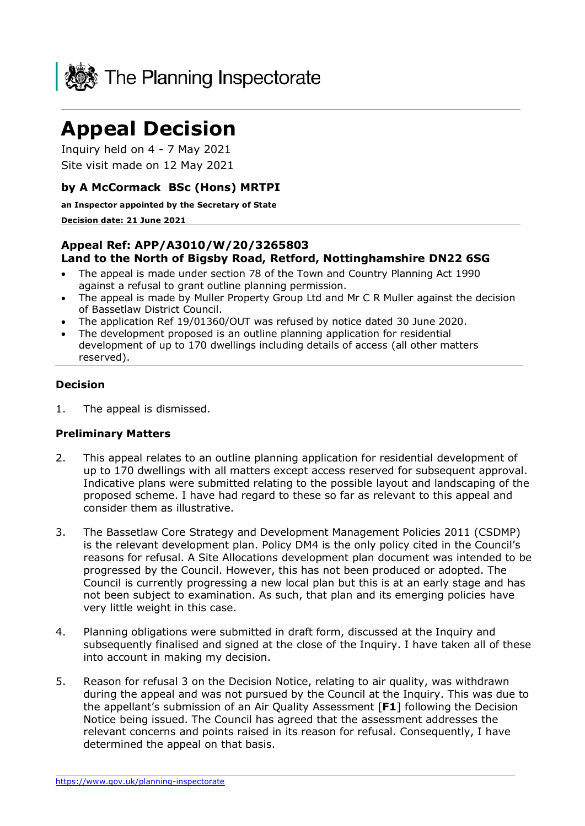

# **Appeal Decision**

Inquiry held on 4 - 7 May 2021 Site visit made on 12 May 2021

## **by A McCormack BSc (Hons) MRTPI**

**an Inspector appointed by the Secretary of State** 

**Decision date: 21 June 2021**

#### **Appeal Ref: APP/A3010/W/20/3265803 Land to the North of Bigsby Road, Retford, Nottinghamshire DN22 6SG**

- The appeal is made under section 78 of the Town and Country Planning Act 1990 against a refusal to grant outline planning permission.
- The appeal is made by Muller Property Group Ltd and Mr C R Muller against the decision of Bassetlaw District Council.
- The application Ref 19/01360/OUT was refused by notice dated 30 June 2020.
- The development proposed is an outline planning application for residential development of up to 170 dwellings including details of access (all other matters reserved).

#### **Decision**

1. The appeal is dismissed.

#### **Preliminary Matters**

- 2. This appeal relates to an outline planning application for residential development of up to 170 dwellings with all matters except access reserved for subsequent approval. Indicative plans were submitted relating to the possible layout and landscaping of the proposed scheme. I have had regard to these so far as relevant to this appeal and consider them as illustrative.
- 3. The Bassetlaw Core Strategy and Development Management Policies 2011 (CSDMP) is the relevant development plan. Policy DM4 is the only policy cited in the Council's reasons for refusal. A Site Allocations development plan document was intended to be progressed by the Council. However, this has not been produced or adopted. The Council is currently progressing a new local plan but this is at an early stage and has not been subject to examination. As such, that plan and its emerging policies have very little weight in this case.
- 4. Planning obligations were submitted in draft form, discussed at the Inquiry and subsequently finalised and signed at the close of the Inquiry. I have taken all of these into account in making my decision.
- 5. Reason for refusal 3 on the Decision Notice, relating to air quality, was withdrawn during the appeal and was not pursued by the Council at the Inquiry. This was due to the appellant's submission of an Air Quality Assessment [**F1**] following the Decision Notice being issued. The Council has agreed that the assessment addresses the relevant concerns and points raised in its reason for refusal. Consequently, I have determined the appeal on that basis.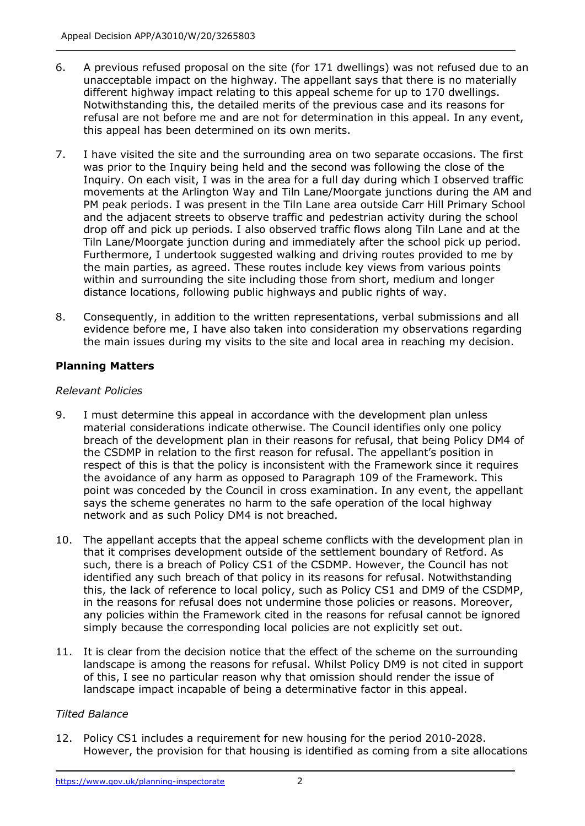- 6. A previous refused proposal on the site (for 171 dwellings) was not refused due to an unacceptable impact on the highway. The appellant says that there is no materially different highway impact relating to this appeal scheme for up to 170 dwellings. Notwithstanding this, the detailed merits of the previous case and its reasons for refusal are not before me and are not for determination in this appeal. In any event, this appeal has been determined on its own merits.
- 7. I have visited the site and the surrounding area on two separate occasions. The first was prior to the Inquiry being held and the second was following the close of the Inquiry. On each visit, I was in the area for a full day during which I observed traffic movements at the Arlington Way and Tiln Lane/Moorgate junctions during the AM and PM peak periods. I was present in the Tiln Lane area outside Carr Hill Primary School and the adjacent streets to observe traffic and pedestrian activity during the school drop off and pick up periods. I also observed traffic flows along Tiln Lane and at the Tiln Lane/Moorgate junction during and immediately after the school pick up period. Furthermore, I undertook suggested walking and driving routes provided to me by the main parties, as agreed. These routes include key views from various points within and surrounding the site including those from short, medium and longer distance locations, following public highways and public rights of way.
- 8. Consequently, in addition to the written representations, verbal submissions and all evidence before me, I have also taken into consideration my observations regarding the main issues during my visits to the site and local area in reaching my decision.

## **Planning Matters**

#### *Relevant Policies*

- 9. I must determine this appeal in accordance with the development plan unless material considerations indicate otherwise. The Council identifies only one policy breach of the development plan in their reasons for refusal, that being Policy DM4 of the CSDMP in relation to the first reason for refusal. The appellant's position in respect of this is that the policy is inconsistent with the Framework since it requires the avoidance of any harm as opposed to Paragraph 109 of the Framework. This point was conceded by the Council in cross examination. In any event, the appellant says the scheme generates no harm to the safe operation of the local highway network and as such Policy DM4 is not breached.
- 10. The appellant accepts that the appeal scheme conflicts with the development plan in that it comprises development outside of the settlement boundary of Retford. As such, there is a breach of Policy CS1 of the CSDMP. However, the Council has not identified any such breach of that policy in its reasons for refusal. Notwithstanding this, the lack of reference to local policy, such as Policy CS1 and DM9 of the CSDMP, in the reasons for refusal does not undermine those policies or reasons. Moreover, any policies within the Framework cited in the reasons for refusal cannot be ignored simply because the corresponding local policies are not explicitly set out.
- 11. It is clear from the decision notice that the effect of the scheme on the surrounding landscape is among the reasons for refusal. Whilst Policy DM9 is not cited in support of this, I see no particular reason why that omission should render the issue of landscape impact incapable of being a determinative factor in this appeal.

#### *Tilted Balance*

12. Policy CS1 includes a requirement for new housing for the period 2010-2028. However, the provision for that housing is identified as coming from a site allocations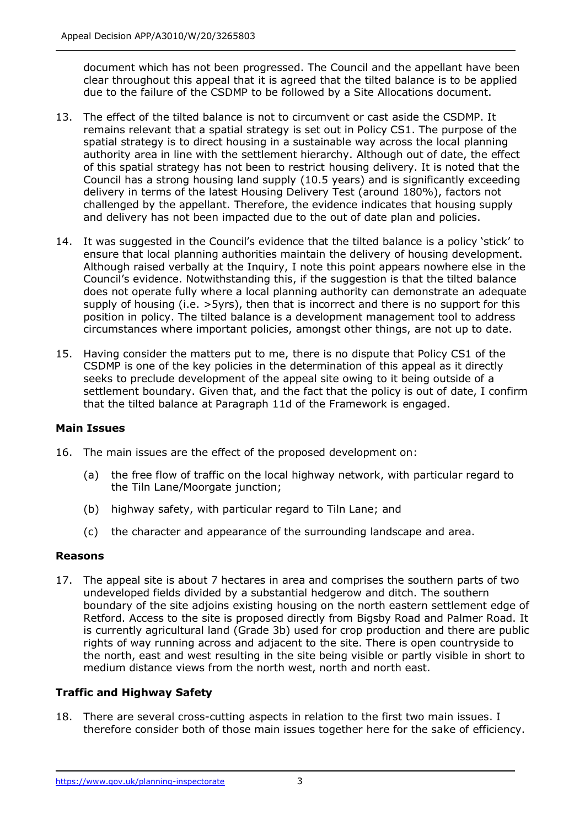document which has not been progressed. The Council and the appellant have been clear throughout this appeal that it is agreed that the tilted balance is to be applied due to the failure of the CSDMP to be followed by a Site Allocations document.

- 13. The effect of the tilted balance is not to circumvent or cast aside the CSDMP. It remains relevant that a spatial strategy is set out in Policy CS1. The purpose of the spatial strategy is to direct housing in a sustainable way across the local planning authority area in line with the settlement hierarchy. Although out of date, the effect of this spatial strategy has not been to restrict housing delivery. It is noted that the Council has a strong housing land supply (10.5 years) and is significantly exceeding delivery in terms of the latest Housing Delivery Test (around 180%), factors not challenged by the appellant. Therefore, the evidence indicates that housing supply and delivery has not been impacted due to the out of date plan and policies.
- 14. It was suggested in the Council's evidence that the tilted balance is a policy 'stick' to ensure that local planning authorities maintain the delivery of housing development. Although raised verbally at the Inquiry, I note this point appears nowhere else in the Council's evidence. Notwithstanding this, if the suggestion is that the tilted balance does not operate fully where a local planning authority can demonstrate an adequate supply of housing (i.e. >5yrs), then that is incorrect and there is no support for this position in policy. The tilted balance is a development management tool to address circumstances where important policies, amongst other things, are not up to date.
- 15. Having consider the matters put to me, there is no dispute that Policy CS1 of the CSDMP is one of the key policies in the determination of this appeal as it directly seeks to preclude development of the appeal site owing to it being outside of a settlement boundary. Given that, and the fact that the policy is out of date, I confirm that the tilted balance at Paragraph 11d of the Framework is engaged.

## **Main Issues**

- 16. The main issues are the effect of the proposed development on:
	- (a) the free flow of traffic on the local highway network, with particular regard to the Tiln Lane/Moorgate junction;
	- (b) highway safety, with particular regard to Tiln Lane; and
	- (c) the character and appearance of the surrounding landscape and area.

#### **Reasons**

17. The appeal site is about 7 hectares in area and comprises the southern parts of two undeveloped fields divided by a substantial hedgerow and ditch. The southern boundary of the site adjoins existing housing on the north eastern settlement edge of Retford. Access to the site is proposed directly from Bigsby Road and Palmer Road. It is currently agricultural land (Grade 3b) used for crop production and there are public rights of way running across and adjacent to the site. There is open countryside to the north, east and west resulting in the site being visible or partly visible in short to medium distance views from the north west, north and north east.

## **Traffic and Highway Safety**

18. There are several cross-cutting aspects in relation to the first two main issues. I therefore consider both of those main issues together here for the sake of efficiency.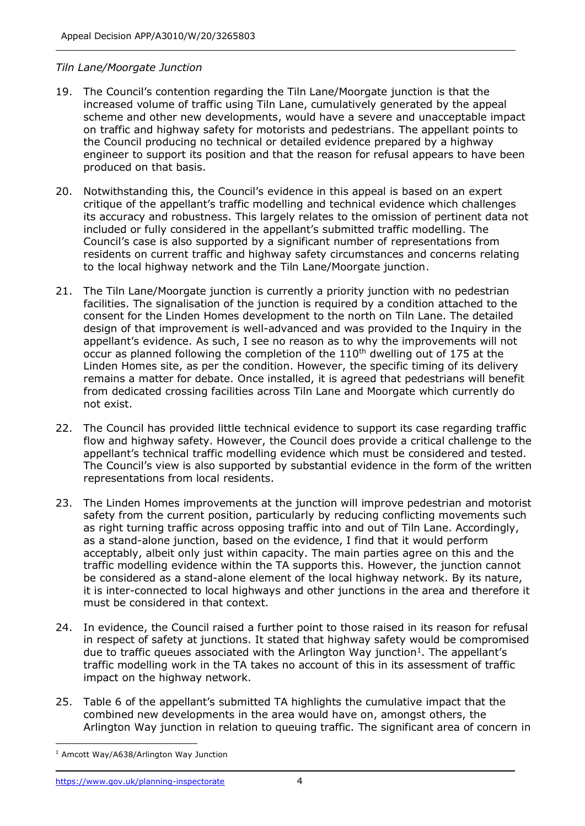#### *Tiln Lane/Moorgate Junction*

- 19. The Council's contention regarding the Tiln Lane/Moorgate junction is that the increased volume of traffic using Tiln Lane, cumulatively generated by the appeal scheme and other new developments, would have a severe and unacceptable impact on traffic and highway safety for motorists and pedestrians. The appellant points to the Council producing no technical or detailed evidence prepared by a highway engineer to support its position and that the reason for refusal appears to have been produced on that basis.
- 20. Notwithstanding this, the Council's evidence in this appeal is based on an expert critique of the appellant's traffic modelling and technical evidence which challenges its accuracy and robustness. This largely relates to the omission of pertinent data not included or fully considered in the appellant's submitted traffic modelling. The Council's case is also supported by a significant number of representations from residents on current traffic and highway safety circumstances and concerns relating to the local highway network and the Tiln Lane/Moorgate junction.
- 21. The Tiln Lane/Moorgate junction is currently a priority junction with no pedestrian facilities. The signalisation of the junction is required by a condition attached to the consent for the Linden Homes development to the north on Tiln Lane. The detailed design of that improvement is well-advanced and was provided to the Inquiry in the appellant's evidence. As such, I see no reason as to why the improvements will not occur as planned following the completion of the 110<sup>th</sup> dwelling out of 175 at the Linden Homes site, as per the condition. However, the specific timing of its delivery remains a matter for debate. Once installed, it is agreed that pedestrians will benefit from dedicated crossing facilities across Tiln Lane and Moorgate which currently do not exist.
- 22. The Council has provided little technical evidence to support its case regarding traffic flow and highway safety. However, the Council does provide a critical challenge to the appellant's technical traffic modelling evidence which must be considered and tested. The Council's view is also supported by substantial evidence in the form of the written representations from local residents.
- 23. The Linden Homes improvements at the junction will improve pedestrian and motorist safety from the current position, particularly by reducing conflicting movements such as right turning traffic across opposing traffic into and out of Tiln Lane. Accordingly, as a stand-alone junction, based on the evidence, I find that it would perform acceptably, albeit only just within capacity. The main parties agree on this and the traffic modelling evidence within the TA supports this. However, the junction cannot be considered as a stand-alone element of the local highway network. By its nature, it is inter-connected to local highways and other junctions in the area and therefore it must be considered in that context.
- 24. In evidence, the Council raised a further point to those raised in its reason for refusal in respect of safety at junctions. It stated that highway safety would be compromised due to traffic queues associated with the Arlington Way junction<sup>1</sup>. The appellant's traffic modelling work in the TA takes no account of this in its assessment of traffic impact on the highway network.
- 25. Table 6 of the appellant's submitted TA highlights the cumulative impact that the combined new developments in the area would have on, amongst others, the Arlington Way junction in relation to queuing traffic. The significant area of concern in

<sup>1</sup> Amcott Way/A638/Arlington Way Junction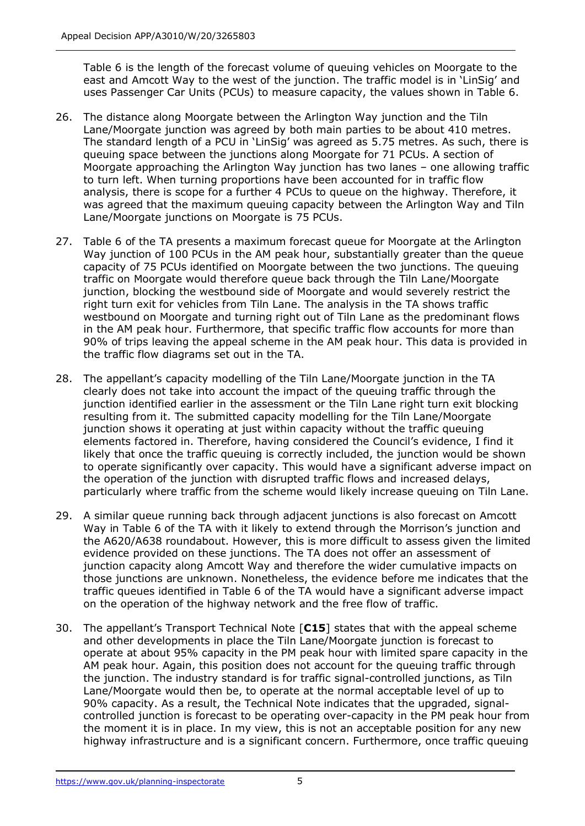Table 6 is the length of the forecast volume of queuing vehicles on Moorgate to the east and Amcott Way to the west of the junction. The traffic model is in 'LinSig' and uses Passenger Car Units (PCUs) to measure capacity, the values shown in Table 6.

- 26. The distance along Moorgate between the Arlington Way junction and the Tiln Lane/Moorgate junction was agreed by both main parties to be about 410 metres. The standard length of a PCU in 'LinSig' was agreed as 5.75 metres. As such, there is queuing space between the junctions along Moorgate for 71 PCUs. A section of Moorgate approaching the Arlington Way junction has two lanes – one allowing traffic to turn left. When turning proportions have been accounted for in traffic flow analysis, there is scope for a further 4 PCUs to queue on the highway. Therefore, it was agreed that the maximum queuing capacity between the Arlington Way and Tiln Lane/Moorgate junctions on Moorgate is 75 PCUs.
- 27. Table 6 of the TA presents a maximum forecast queue for Moorgate at the Arlington Way junction of 100 PCUs in the AM peak hour, substantially greater than the queue capacity of 75 PCUs identified on Moorgate between the two junctions. The queuing traffic on Moorgate would therefore queue back through the Tiln Lane/Moorgate junction, blocking the westbound side of Moorgate and would severely restrict the right turn exit for vehicles from Tiln Lane. The analysis in the TA shows traffic westbound on Moorgate and turning right out of Tiln Lane as the predominant flows in the AM peak hour. Furthermore, that specific traffic flow accounts for more than 90% of trips leaving the appeal scheme in the AM peak hour. This data is provided in the traffic flow diagrams set out in the TA.
- 28. The appellant's capacity modelling of the Tiln Lane/Moorgate junction in the TA clearly does not take into account the impact of the queuing traffic through the junction identified earlier in the assessment or the Tiln Lane right turn exit blocking resulting from it. The submitted capacity modelling for the Tiln Lane/Moorgate junction shows it operating at just within capacity without the traffic queuing elements factored in. Therefore, having considered the Council's evidence, I find it likely that once the traffic queuing is correctly included, the junction would be shown to operate significantly over capacity. This would have a significant adverse impact on the operation of the junction with disrupted traffic flows and increased delays, particularly where traffic from the scheme would likely increase queuing on Tiln Lane.
- 29. A similar queue running back through adjacent junctions is also forecast on Amcott Way in Table 6 of the TA with it likely to extend through the Morrison's junction and the A620/A638 roundabout. However, this is more difficult to assess given the limited evidence provided on these junctions. The TA does not offer an assessment of junction capacity along Amcott Way and therefore the wider cumulative impacts on those junctions are unknown. Nonetheless, the evidence before me indicates that the traffic queues identified in Table 6 of the TA would have a significant adverse impact on the operation of the highway network and the free flow of traffic.
- 30. The appellant's Transport Technical Note [**C15**] states that with the appeal scheme and other developments in place the Tiln Lane/Moorgate junction is forecast to operate at about 95% capacity in the PM peak hour with limited spare capacity in the AM peak hour. Again, this position does not account for the queuing traffic through the junction. The industry standard is for traffic signal-controlled junctions, as Tiln Lane/Moorgate would then be, to operate at the normal acceptable level of up to 90% capacity. As a result, the Technical Note indicates that the upgraded, signalcontrolled junction is forecast to be operating over-capacity in the PM peak hour from the moment it is in place. In my view, this is not an acceptable position for any new highway infrastructure and is a significant concern. Furthermore, once traffic queuing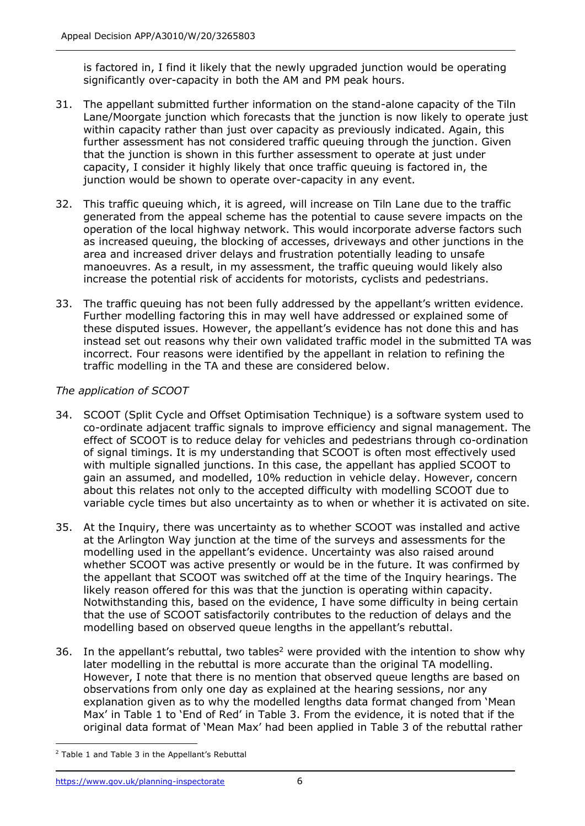is factored in, I find it likely that the newly upgraded junction would be operating significantly over-capacity in both the AM and PM peak hours.

- 31. The appellant submitted further information on the stand-alone capacity of the Tiln Lane/Moorgate junction which forecasts that the junction is now likely to operate just within capacity rather than just over capacity as previously indicated. Again, this further assessment has not considered traffic queuing through the junction. Given that the junction is shown in this further assessment to operate at just under capacity, I consider it highly likely that once traffic queuing is factored in, the junction would be shown to operate over-capacity in any event.
- 32. This traffic queuing which, it is agreed, will increase on Tiln Lane due to the traffic generated from the appeal scheme has the potential to cause severe impacts on the operation of the local highway network. This would incorporate adverse factors such as increased queuing, the blocking of accesses, driveways and other junctions in the area and increased driver delays and frustration potentially leading to unsafe manoeuvres. As a result, in my assessment, the traffic queuing would likely also increase the potential risk of accidents for motorists, cyclists and pedestrians.
- 33. The traffic queuing has not been fully addressed by the appellant's written evidence. Further modelling factoring this in may well have addressed or explained some of these disputed issues. However, the appellant's evidence has not done this and has instead set out reasons why their own validated traffic model in the submitted TA was incorrect. Four reasons were identified by the appellant in relation to refining the traffic modelling in the TA and these are considered below.

## *The application of SCOOT*

- 34. SCOOT (Split Cycle and Offset Optimisation Technique) is a software system used to co-ordinate adjacent traffic signals to improve efficiency and signal management. The effect of SCOOT is to reduce delay for vehicles and pedestrians through co-ordination of signal timings. It is my understanding that SCOOT is often most effectively used with multiple signalled junctions. In this case, the appellant has applied SCOOT to gain an assumed, and modelled, 10% reduction in vehicle delay. However, concern about this relates not only to the accepted difficulty with modelling SCOOT due to variable cycle times but also uncertainty as to when or whether it is activated on site.
- 35. At the Inquiry, there was uncertainty as to whether SCOOT was installed and active at the Arlington Way junction at the time of the surveys and assessments for the modelling used in the appellant's evidence. Uncertainty was also raised around whether SCOOT was active presently or would be in the future. It was confirmed by the appellant that SCOOT was switched off at the time of the Inquiry hearings. The likely reason offered for this was that the junction is operating within capacity. Notwithstanding this, based on the evidence, I have some difficulty in being certain that the use of SCOOT satisfactorily contributes to the reduction of delays and the modelling based on observed queue lengths in the appellant's rebuttal.
- 36. In the appellant's rebuttal, two tables<sup>2</sup> were provided with the intention to show why later modelling in the rebuttal is more accurate than the original TA modelling. However, I note that there is no mention that observed queue lengths are based on observations from only one day as explained at the hearing sessions, nor any explanation given as to why the modelled lengths data format changed from 'Mean Max' in Table 1 to 'End of Red' in Table 3. From the evidence, it is noted that if the original data format of 'Mean Max' had been applied in Table 3 of the rebuttal rather

<sup>2</sup> Table 1 and Table 3 in the Appellant's Rebuttal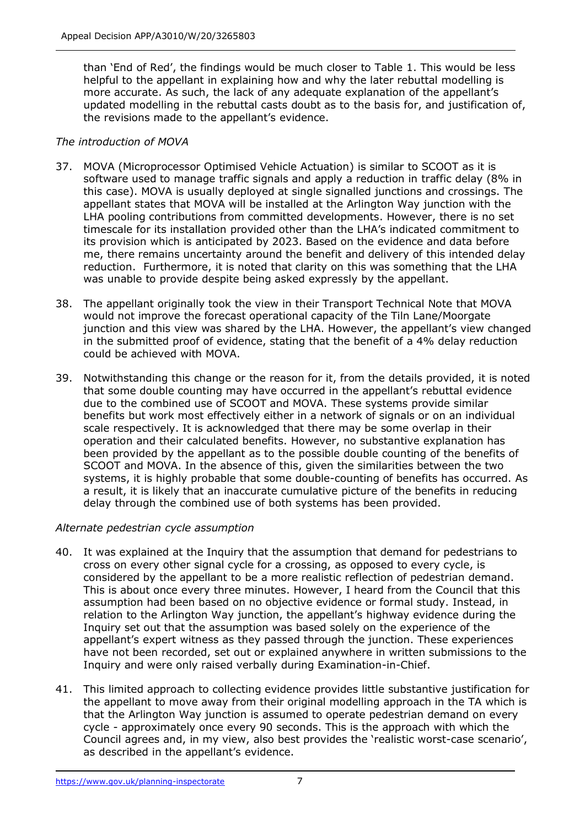than 'End of Red', the findings would be much closer to Table 1. This would be less helpful to the appellant in explaining how and why the later rebuttal modelling is more accurate. As such, the lack of any adequate explanation of the appellant's updated modelling in the rebuttal casts doubt as to the basis for, and justification of, the revisions made to the appellant's evidence.

## *The introduction of MOVA*

- 37. MOVA (Microprocessor Optimised Vehicle Actuation) is similar to SCOOT as it is software used to manage traffic signals and apply a reduction in traffic delay (8% in this case). MOVA is usually deployed at single signalled junctions and crossings. The appellant states that MOVA will be installed at the Arlington Way junction with the LHA pooling contributions from committed developments. However, there is no set timescale for its installation provided other than the LHA's indicated commitment to its provision which is anticipated by 2023. Based on the evidence and data before me, there remains uncertainty around the benefit and delivery of this intended delay reduction. Furthermore, it is noted that clarity on this was something that the LHA was unable to provide despite being asked expressly by the appellant.
- 38. The appellant originally took the view in their Transport Technical Note that MOVA would not improve the forecast operational capacity of the Tiln Lane/Moorgate junction and this view was shared by the LHA. However, the appellant's view changed in the submitted proof of evidence, stating that the benefit of a 4% delay reduction could be achieved with MOVA.
- 39. Notwithstanding this change or the reason for it, from the details provided, it is noted that some double counting may have occurred in the appellant's rebuttal evidence due to the combined use of SCOOT and MOVA. These systems provide similar benefits but work most effectively either in a network of signals or on an individual scale respectively. It is acknowledged that there may be some overlap in their operation and their calculated benefits. However, no substantive explanation has been provided by the appellant as to the possible double counting of the benefits of SCOOT and MOVA. In the absence of this, given the similarities between the two systems, it is highly probable that some double-counting of benefits has occurred. As a result, it is likely that an inaccurate cumulative picture of the benefits in reducing delay through the combined use of both systems has been provided.

## *Alternate pedestrian cycle assumption*

- 40. It was explained at the Inquiry that the assumption that demand for pedestrians to cross on every other signal cycle for a crossing, as opposed to every cycle, is considered by the appellant to be a more realistic reflection of pedestrian demand. This is about once every three minutes. However, I heard from the Council that this assumption had been based on no objective evidence or formal study. Instead, in relation to the Arlington Way junction, the appellant's highway evidence during the Inquiry set out that the assumption was based solely on the experience of the appellant's expert witness as they passed through the junction. These experiences have not been recorded, set out or explained anywhere in written submissions to the Inquiry and were only raised verbally during Examination-in-Chief.
- 41. This limited approach to collecting evidence provides little substantive justification for the appellant to move away from their original modelling approach in the TA which is that the Arlington Way junction is assumed to operate pedestrian demand on every cycle - approximately once every 90 seconds. This is the approach with which the Council agrees and, in my view, also best provides the 'realistic worst-case scenario', as described in the appellant's evidence.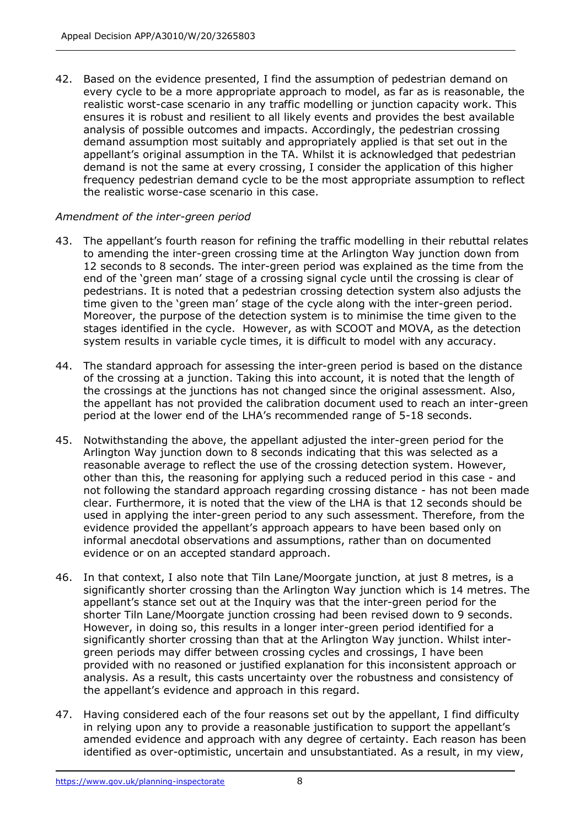42. Based on the evidence presented, I find the assumption of pedestrian demand on every cycle to be a more appropriate approach to model, as far as is reasonable, the realistic worst-case scenario in any traffic modelling or junction capacity work. This ensures it is robust and resilient to all likely events and provides the best available analysis of possible outcomes and impacts. Accordingly, the pedestrian crossing demand assumption most suitably and appropriately applied is that set out in the appellant's original assumption in the TA. Whilst it is acknowledged that pedestrian demand is not the same at every crossing, I consider the application of this higher frequency pedestrian demand cycle to be the most appropriate assumption to reflect the realistic worse-case scenario in this case.

## *Amendment of the inter-green period*

- 43. The appellant's fourth reason for refining the traffic modelling in their rebuttal relates to amending the inter-green crossing time at the Arlington Way junction down from 12 seconds to 8 seconds. The inter-green period was explained as the time from the end of the 'green man' stage of a crossing signal cycle until the crossing is clear of pedestrians. It is noted that a pedestrian crossing detection system also adjusts the time given to the 'green man' stage of the cycle along with the inter-green period. Moreover, the purpose of the detection system is to minimise the time given to the stages identified in the cycle. However, as with SCOOT and MOVA, as the detection system results in variable cycle times, it is difficult to model with any accuracy.
- 44. The standard approach for assessing the inter-green period is based on the distance of the crossing at a junction. Taking this into account, it is noted that the length of the crossings at the junctions has not changed since the original assessment. Also, the appellant has not provided the calibration document used to reach an inter-green period at the lower end of the LHA's recommended range of 5-18 seconds.
- 45. Notwithstanding the above, the appellant adjusted the inter-green period for the Arlington Way junction down to 8 seconds indicating that this was selected as a reasonable average to reflect the use of the crossing detection system. However, other than this, the reasoning for applying such a reduced period in this case - and not following the standard approach regarding crossing distance - has not been made clear. Furthermore, it is noted that the view of the LHA is that 12 seconds should be used in applying the inter-green period to any such assessment. Therefore, from the evidence provided the appellant's approach appears to have been based only on informal anecdotal observations and assumptions, rather than on documented evidence or on an accepted standard approach.
- 46. In that context, I also note that Tiln Lane/Moorgate junction, at just 8 metres, is a significantly shorter crossing than the Arlington Way junction which is 14 metres. The appellant's stance set out at the Inquiry was that the inter-green period for the shorter Tiln Lane/Moorgate junction crossing had been revised down to 9 seconds. However, in doing so, this results in a longer inter-green period identified for a significantly shorter crossing than that at the Arlington Way junction. Whilst intergreen periods may differ between crossing cycles and crossings, I have been provided with no reasoned or justified explanation for this inconsistent approach or analysis. As a result, this casts uncertainty over the robustness and consistency of the appellant's evidence and approach in this regard.
- 47. Having considered each of the four reasons set out by the appellant, I find difficulty in relying upon any to provide a reasonable justification to support the appellant's amended evidence and approach with any degree of certainty. Each reason has been identified as over-optimistic, uncertain and unsubstantiated. As a result, in my view,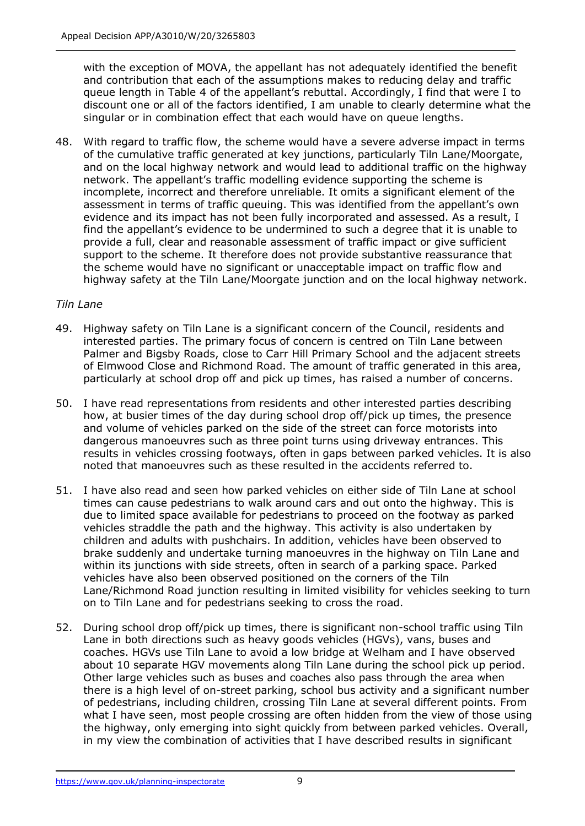with the exception of MOVA, the appellant has not adequately identified the benefit and contribution that each of the assumptions makes to reducing delay and traffic queue length in Table 4 of the appellant's rebuttal. Accordingly, I find that were I to discount one or all of the factors identified, I am unable to clearly determine what the singular or in combination effect that each would have on queue lengths.

48. With regard to traffic flow, the scheme would have a severe adverse impact in terms of the cumulative traffic generated at key junctions, particularly Tiln Lane/Moorgate, and on the local highway network and would lead to additional traffic on the highway network. The appellant's traffic modelling evidence supporting the scheme is incomplete, incorrect and therefore unreliable. It omits a significant element of the assessment in terms of traffic queuing. This was identified from the appellant's own evidence and its impact has not been fully incorporated and assessed. As a result, I find the appellant's evidence to be undermined to such a degree that it is unable to provide a full, clear and reasonable assessment of traffic impact or give sufficient support to the scheme. It therefore does not provide substantive reassurance that the scheme would have no significant or unacceptable impact on traffic flow and highway safety at the Tiln Lane/Moorgate junction and on the local highway network.

## *Tiln Lane*

- 49. Highway safety on Tiln Lane is a significant concern of the Council, residents and interested parties. The primary focus of concern is centred on Tiln Lane between Palmer and Bigsby Roads, close to Carr Hill Primary School and the adjacent streets of Elmwood Close and Richmond Road. The amount of traffic generated in this area, particularly at school drop off and pick up times, has raised a number of concerns.
- 50. I have read representations from residents and other interested parties describing how, at busier times of the day during school drop off/pick up times, the presence and volume of vehicles parked on the side of the street can force motorists into dangerous manoeuvres such as three point turns using driveway entrances. This results in vehicles crossing footways, often in gaps between parked vehicles. It is also noted that manoeuvres such as these resulted in the accidents referred to.
- 51. I have also read and seen how parked vehicles on either side of Tiln Lane at school times can cause pedestrians to walk around cars and out onto the highway. This is due to limited space available for pedestrians to proceed on the footway as parked vehicles straddle the path and the highway. This activity is also undertaken by children and adults with pushchairs. In addition, vehicles have been observed to brake suddenly and undertake turning manoeuvres in the highway on Tiln Lane and within its junctions with side streets, often in search of a parking space. Parked vehicles have also been observed positioned on the corners of the Tiln Lane/Richmond Road junction resulting in limited visibility for vehicles seeking to turn on to Tiln Lane and for pedestrians seeking to cross the road.
- 52. During school drop off/pick up times, there is significant non-school traffic using Tiln Lane in both directions such as heavy goods vehicles (HGVs), vans, buses and coaches. HGVs use Tiln Lane to avoid a low bridge at Welham and I have observed about 10 separate HGV movements along Tiln Lane during the school pick up period. Other large vehicles such as buses and coaches also pass through the area when there is a high level of on-street parking, school bus activity and a significant number of pedestrians, including children, crossing Tiln Lane at several different points. From what I have seen, most people crossing are often hidden from the view of those using the highway, only emerging into sight quickly from between parked vehicles. Overall, in my view the combination of activities that I have described results in significant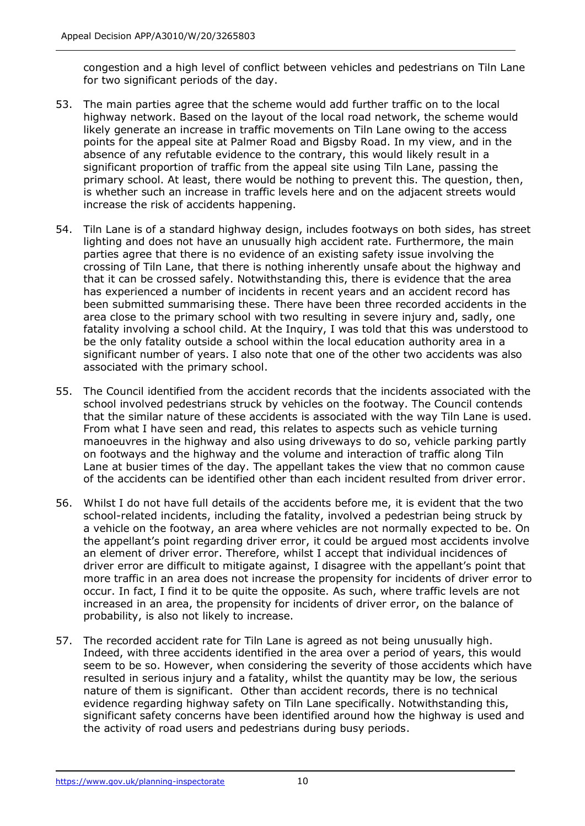congestion and a high level of conflict between vehicles and pedestrians on Tiln Lane for two significant periods of the day.

- 53. The main parties agree that the scheme would add further traffic on to the local highway network. Based on the layout of the local road network, the scheme would likely generate an increase in traffic movements on Tiln Lane owing to the access points for the appeal site at Palmer Road and Bigsby Road. In my view, and in the absence of any refutable evidence to the contrary, this would likely result in a significant proportion of traffic from the appeal site using Tiln Lane, passing the primary school. At least, there would be nothing to prevent this. The question, then, is whether such an increase in traffic levels here and on the adjacent streets would increase the risk of accidents happening.
- 54. Tiln Lane is of a standard highway design, includes footways on both sides, has street lighting and does not have an unusually high accident rate. Furthermore, the main parties agree that there is no evidence of an existing safety issue involving the crossing of Tiln Lane, that there is nothing inherently unsafe about the highway and that it can be crossed safely. Notwithstanding this, there is evidence that the area has experienced a number of incidents in recent years and an accident record has been submitted summarising these. There have been three recorded accidents in the area close to the primary school with two resulting in severe injury and, sadly, one fatality involving a school child. At the Inquiry, I was told that this was understood to be the only fatality outside a school within the local education authority area in a significant number of years. I also note that one of the other two accidents was also associated with the primary school.
- 55. The Council identified from the accident records that the incidents associated with the school involved pedestrians struck by vehicles on the footway. The Council contends that the similar nature of these accidents is associated with the way Tiln Lane is used. From what I have seen and read, this relates to aspects such as vehicle turning manoeuvres in the highway and also using driveways to do so, vehicle parking partly on footways and the highway and the volume and interaction of traffic along Tiln Lane at busier times of the day. The appellant takes the view that no common cause of the accidents can be identified other than each incident resulted from driver error.
- 56. Whilst I do not have full details of the accidents before me, it is evident that the two school-related incidents, including the fatality, involved a pedestrian being struck by a vehicle on the footway, an area where vehicles are not normally expected to be. On the appellant's point regarding driver error, it could be argued most accidents involve an element of driver error. Therefore, whilst I accept that individual incidences of driver error are difficult to mitigate against, I disagree with the appellant's point that more traffic in an area does not increase the propensity for incidents of driver error to occur. In fact, I find it to be quite the opposite. As such, where traffic levels are not increased in an area, the propensity for incidents of driver error, on the balance of probability, is also not likely to increase.
- 57. The recorded accident rate for Tiln Lane is agreed as not being unusually high. Indeed, with three accidents identified in the area over a period of years, this would seem to be so. However, when considering the severity of those accidents which have resulted in serious injury and a fatality, whilst the quantity may be low, the serious nature of them is significant. Other than accident records, there is no technical evidence regarding highway safety on Tiln Lane specifically. Notwithstanding this, significant safety concerns have been identified around how the highway is used and the activity of road users and pedestrians during busy periods.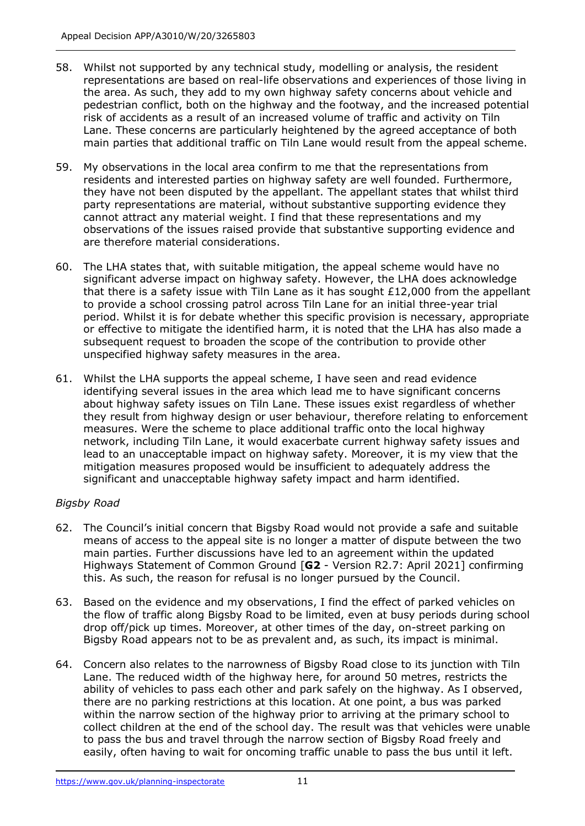- 58. Whilst not supported by any technical study, modelling or analysis, the resident representations are based on real-life observations and experiences of those living in the area. As such, they add to my own highway safety concerns about vehicle and pedestrian conflict, both on the highway and the footway, and the increased potential risk of accidents as a result of an increased volume of traffic and activity on Tiln Lane. These concerns are particularly heightened by the agreed acceptance of both main parties that additional traffic on Tiln Lane would result from the appeal scheme.
- 59. My observations in the local area confirm to me that the representations from residents and interested parties on highway safety are well founded. Furthermore, they have not been disputed by the appellant. The appellant states that whilst third party representations are material, without substantive supporting evidence they cannot attract any material weight. I find that these representations and my observations of the issues raised provide that substantive supporting evidence and are therefore material considerations.
- 60. The LHA states that, with suitable mitigation, the appeal scheme would have no significant adverse impact on highway safety. However, the LHA does acknowledge that there is a safety issue with Tiln Lane as it has sought  $£12,000$  from the appellant to provide a school crossing patrol across Tiln Lane for an initial three-year trial period. Whilst it is for debate whether this specific provision is necessary, appropriate or effective to mitigate the identified harm, it is noted that the LHA has also made a subsequent request to broaden the scope of the contribution to provide other unspecified highway safety measures in the area.
- 61. Whilst the LHA supports the appeal scheme, I have seen and read evidence identifying several issues in the area which lead me to have significant concerns about highway safety issues on Tiln Lane. These issues exist regardless of whether they result from highway design or user behaviour, therefore relating to enforcement measures. Were the scheme to place additional traffic onto the local highway network, including Tiln Lane, it would exacerbate current highway safety issues and lead to an unacceptable impact on highway safety. Moreover, it is my view that the mitigation measures proposed would be insufficient to adequately address the significant and unacceptable highway safety impact and harm identified.

## *Bigsby Road*

- 62. The Council's initial concern that Bigsby Road would not provide a safe and suitable means of access to the appeal site is no longer a matter of dispute between the two main parties. Further discussions have led to an agreement within the updated Highways Statement of Common Ground [**G2** - Version R2.7: April 2021] confirming this. As such, the reason for refusal is no longer pursued by the Council.
- 63. Based on the evidence and my observations, I find the effect of parked vehicles on the flow of traffic along Bigsby Road to be limited, even at busy periods during school drop off/pick up times. Moreover, at other times of the day, on-street parking on Bigsby Road appears not to be as prevalent and, as such, its impact is minimal.
- 64. Concern also relates to the narrowness of Bigsby Road close to its junction with Tiln Lane. The reduced width of the highway here, for around 50 metres, restricts the ability of vehicles to pass each other and park safely on the highway. As I observed, there are no parking restrictions at this location. At one point, a bus was parked within the narrow section of the highway prior to arriving at the primary school to collect children at the end of the school day. The result was that vehicles were unable to pass the bus and travel through the narrow section of Bigsby Road freely and easily, often having to wait for oncoming traffic unable to pass the bus until it left.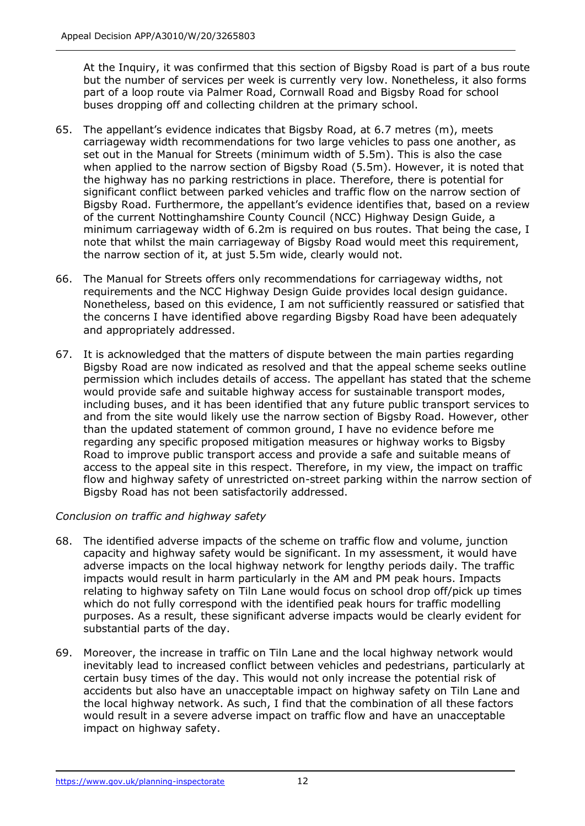At the Inquiry, it was confirmed that this section of Bigsby Road is part of a bus route but the number of services per week is currently very low. Nonetheless, it also forms part of a loop route via Palmer Road, Cornwall Road and Bigsby Road for school buses dropping off and collecting children at the primary school.

- 65. The appellant's evidence indicates that Bigsby Road, at 6.7 metres (m), meets carriageway width recommendations for two large vehicles to pass one another, as set out in the Manual for Streets (minimum width of 5.5m). This is also the case when applied to the narrow section of Bigsby Road (5.5m). However, it is noted that the highway has no parking restrictions in place. Therefore, there is potential for significant conflict between parked vehicles and traffic flow on the narrow section of Bigsby Road. Furthermore, the appellant's evidence identifies that, based on a review of the current Nottinghamshire County Council (NCC) Highway Design Guide, a minimum carriageway width of 6.2m is required on bus routes. That being the case, I note that whilst the main carriageway of Bigsby Road would meet this requirement, the narrow section of it, at just 5.5m wide, clearly would not.
- 66. The Manual for Streets offers only recommendations for carriageway widths, not requirements and the NCC Highway Design Guide provides local design guidance. Nonetheless, based on this evidence, I am not sufficiently reassured or satisfied that the concerns I have identified above regarding Bigsby Road have been adequately and appropriately addressed.
- 67. It is acknowledged that the matters of dispute between the main parties regarding Bigsby Road are now indicated as resolved and that the appeal scheme seeks outline permission which includes details of access. The appellant has stated that the scheme would provide safe and suitable highway access for sustainable transport modes, including buses, and it has been identified that any future public transport services to and from the site would likely use the narrow section of Bigsby Road. However, other than the updated statement of common ground, I have no evidence before me regarding any specific proposed mitigation measures or highway works to Bigsby Road to improve public transport access and provide a safe and suitable means of access to the appeal site in this respect. Therefore, in my view, the impact on traffic flow and highway safety of unrestricted on-street parking within the narrow section of Bigsby Road has not been satisfactorily addressed.

## *Conclusion on traffic and highway safety*

- 68. The identified adverse impacts of the scheme on traffic flow and volume, junction capacity and highway safety would be significant. In my assessment, it would have adverse impacts on the local highway network for lengthy periods daily. The traffic impacts would result in harm particularly in the AM and PM peak hours. Impacts relating to highway safety on Tiln Lane would focus on school drop off/pick up times which do not fully correspond with the identified peak hours for traffic modelling purposes. As a result, these significant adverse impacts would be clearly evident for substantial parts of the day.
- 69. Moreover, the increase in traffic on Tiln Lane and the local highway network would inevitably lead to increased conflict between vehicles and pedestrians, particularly at certain busy times of the day. This would not only increase the potential risk of accidents but also have an unacceptable impact on highway safety on Tiln Lane and the local highway network. As such, I find that the combination of all these factors would result in a severe adverse impact on traffic flow and have an unacceptable impact on highway safety.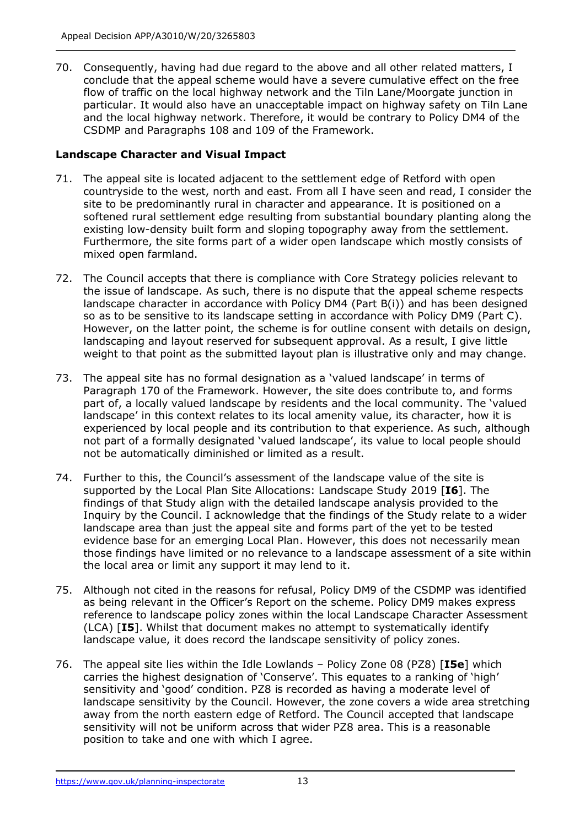70. Consequently, having had due regard to the above and all other related matters, I conclude that the appeal scheme would have a severe cumulative effect on the free flow of traffic on the local highway network and the Tiln Lane/Moorgate junction in particular. It would also have an unacceptable impact on highway safety on Tiln Lane and the local highway network. Therefore, it would be contrary to Policy DM4 of the CSDMP and Paragraphs 108 and 109 of the Framework.

## **Landscape Character and Visual Impact**

- 71. The appeal site is located adjacent to the settlement edge of Retford with open countryside to the west, north and east. From all I have seen and read, I consider the site to be predominantly rural in character and appearance. It is positioned on a softened rural settlement edge resulting from substantial boundary planting along the existing low-density built form and sloping topography away from the settlement. Furthermore, the site forms part of a wider open landscape which mostly consists of mixed open farmland.
- 72. The Council accepts that there is compliance with Core Strategy policies relevant to the issue of landscape. As such, there is no dispute that the appeal scheme respects landscape character in accordance with Policy DM4 (Part B(i)) and has been designed so as to be sensitive to its landscape setting in accordance with Policy DM9 (Part C). However, on the latter point, the scheme is for outline consent with details on design, landscaping and layout reserved for subsequent approval. As a result, I give little weight to that point as the submitted layout plan is illustrative only and may change.
- 73. The appeal site has no formal designation as a 'valued landscape' in terms of Paragraph 170 of the Framework. However, the site does contribute to, and forms part of, a locally valued landscape by residents and the local community. The 'valued landscape' in this context relates to its local amenity value, its character, how it is experienced by local people and its contribution to that experience. As such, although not part of a formally designated 'valued landscape', its value to local people should not be automatically diminished or limited as a result.
- 74. Further to this, the Council's assessment of the landscape value of the site is supported by the Local Plan Site Allocations: Landscape Study 2019 [**I6**]. The findings of that Study align with the detailed landscape analysis provided to the Inquiry by the Council. I acknowledge that the findings of the Study relate to a wider landscape area than just the appeal site and forms part of the yet to be tested evidence base for an emerging Local Plan. However, this does not necessarily mean those findings have limited or no relevance to a landscape assessment of a site within the local area or limit any support it may lend to it.
- 75. Although not cited in the reasons for refusal, Policy DM9 of the CSDMP was identified as being relevant in the Officer's Report on the scheme. Policy DM9 makes express reference to landscape policy zones within the local Landscape Character Assessment (LCA) [**I5**]. Whilst that document makes no attempt to systematically identify landscape value, it does record the landscape sensitivity of policy zones.
- 76. The appeal site lies within the Idle Lowlands Policy Zone 08 (PZ8) [**I5e**] which carries the highest designation of 'Conserve'. This equates to a ranking of 'high' sensitivity and 'good' condition. PZ8 is recorded as having a moderate level of landscape sensitivity by the Council. However, the zone covers a wide area stretching away from the north eastern edge of Retford. The Council accepted that landscape sensitivity will not be uniform across that wider PZ8 area. This is a reasonable position to take and one with which I agree.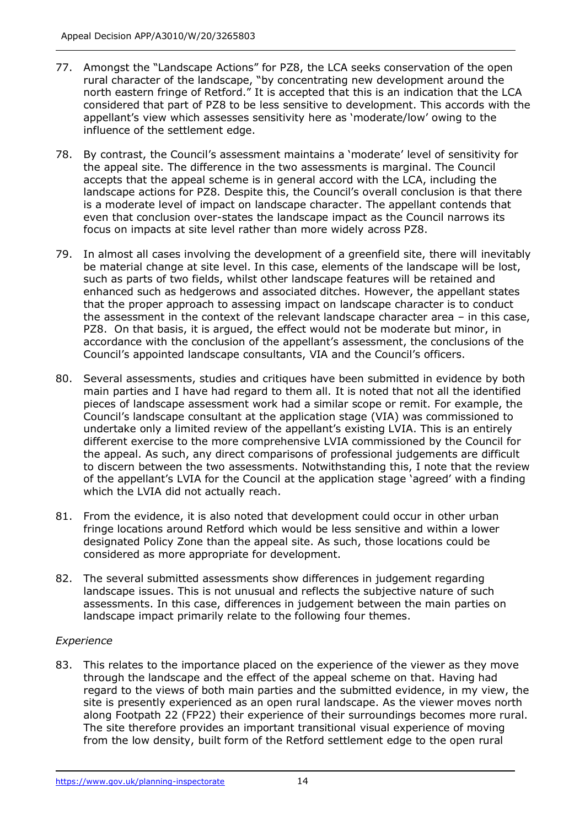- 77. Amongst the "Landscape Actions" for PZ8, the LCA seeks conservation of the open rural character of the landscape, "by concentrating new development around the north eastern fringe of Retford." It is accepted that this is an indication that the LCA considered that part of PZ8 to be less sensitive to development. This accords with the appellant's view which assesses sensitivity here as 'moderate/low' owing to the influence of the settlement edge.
- 78. By contrast, the Council's assessment maintains a 'moderate' level of sensitivity for the appeal site. The difference in the two assessments is marginal. The Council accepts that the appeal scheme is in general accord with the LCA, including the landscape actions for PZ8. Despite this, the Council's overall conclusion is that there is a moderate level of impact on landscape character. The appellant contends that even that conclusion over-states the landscape impact as the Council narrows its focus on impacts at site level rather than more widely across PZ8.
- 79. In almost all cases involving the development of a greenfield site, there will inevitably be material change at site level. In this case, elements of the landscape will be lost, such as parts of two fields, whilst other landscape features will be retained and enhanced such as hedgerows and associated ditches. However, the appellant states that the proper approach to assessing impact on landscape character is to conduct the assessment in the context of the relevant landscape character area – in this case, PZ8. On that basis, it is argued, the effect would not be moderate but minor, in accordance with the conclusion of the appellant's assessment, the conclusions of the Council's appointed landscape consultants, VIA and the Council's officers.
- 80. Several assessments, studies and critiques have been submitted in evidence by both main parties and I have had regard to them all. It is noted that not all the identified pieces of landscape assessment work had a similar scope or remit. For example, the Council's landscape consultant at the application stage (VIA) was commissioned to undertake only a limited review of the appellant's existing LVIA. This is an entirely different exercise to the more comprehensive LVIA commissioned by the Council for the appeal. As such, any direct comparisons of professional judgements are difficult to discern between the two assessments. Notwithstanding this, I note that the review of the appellant's LVIA for the Council at the application stage 'agreed' with a finding which the LVIA did not actually reach.
- 81. From the evidence, it is also noted that development could occur in other urban fringe locations around Retford which would be less sensitive and within a lower designated Policy Zone than the appeal site. As such, those locations could be considered as more appropriate for development.
- 82. The several submitted assessments show differences in judgement regarding landscape issues. This is not unusual and reflects the subjective nature of such assessments. In this case, differences in judgement between the main parties on landscape impact primarily relate to the following four themes.

## *Experience*

83. This relates to the importance placed on the experience of the viewer as they move through the landscape and the effect of the appeal scheme on that. Having had regard to the views of both main parties and the submitted evidence, in my view, the site is presently experienced as an open rural landscape. As the viewer moves north along Footpath 22 (FP22) their experience of their surroundings becomes more rural. The site therefore provides an important transitional visual experience of moving from the low density, built form of the Retford settlement edge to the open rural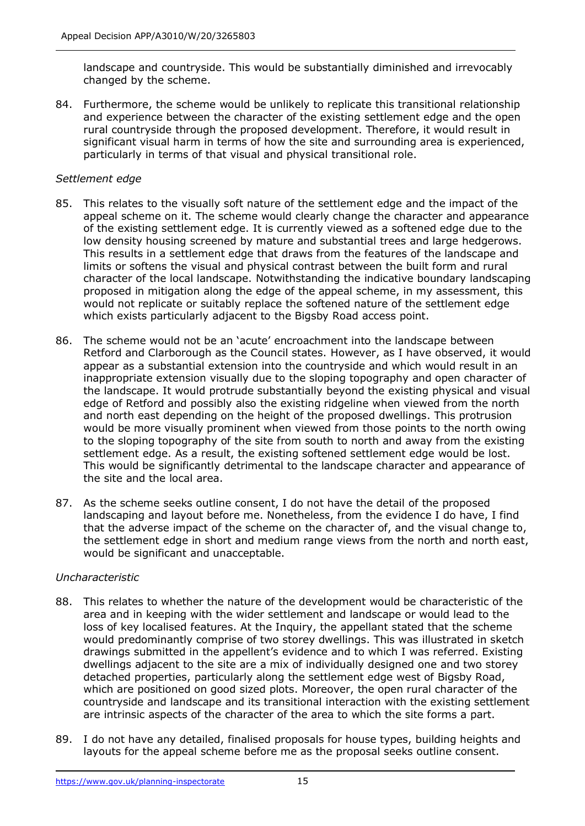landscape and countryside. This would be substantially diminished and irrevocably changed by the scheme.

84. Furthermore, the scheme would be unlikely to replicate this transitional relationship and experience between the character of the existing settlement edge and the open rural countryside through the proposed development. Therefore, it would result in significant visual harm in terms of how the site and surrounding area is experienced, particularly in terms of that visual and physical transitional role.

## *Settlement edge*

- 85. This relates to the visually soft nature of the settlement edge and the impact of the appeal scheme on it. The scheme would clearly change the character and appearance of the existing settlement edge. It is currently viewed as a softened edge due to the low density housing screened by mature and substantial trees and large hedgerows. This results in a settlement edge that draws from the features of the landscape and limits or softens the visual and physical contrast between the built form and rural character of the local landscape. Notwithstanding the indicative boundary landscaping proposed in mitigation along the edge of the appeal scheme, in my assessment, this would not replicate or suitably replace the softened nature of the settlement edge which exists particularly adjacent to the Bigsby Road access point.
- 86. The scheme would not be an 'acute' encroachment into the landscape between Retford and Clarborough as the Council states. However, as I have observed, it would appear as a substantial extension into the countryside and which would result in an inappropriate extension visually due to the sloping topography and open character of the landscape. It would protrude substantially beyond the existing physical and visual edge of Retford and possibly also the existing ridgeline when viewed from the north and north east depending on the height of the proposed dwellings. This protrusion would be more visually prominent when viewed from those points to the north owing to the sloping topography of the site from south to north and away from the existing settlement edge. As a result, the existing softened settlement edge would be lost. This would be significantly detrimental to the landscape character and appearance of the site and the local area.
- 87. As the scheme seeks outline consent, I do not have the detail of the proposed landscaping and layout before me. Nonetheless, from the evidence I do have, I find that the adverse impact of the scheme on the character of, and the visual change to, the settlement edge in short and medium range views from the north and north east, would be significant and unacceptable.

#### *Uncharacteristic*

- 88. This relates to whether the nature of the development would be characteristic of the area and in keeping with the wider settlement and landscape or would lead to the loss of key localised features. At the Inquiry, the appellant stated that the scheme would predominantly comprise of two storey dwellings. This was illustrated in sketch drawings submitted in the appellent's evidence and to which I was referred. Existing dwellings adjacent to the site are a mix of individually designed one and two storey detached properties, particularly along the settlement edge west of Bigsby Road, which are positioned on good sized plots. Moreover, the open rural character of the countryside and landscape and its transitional interaction with the existing settlement are intrinsic aspects of the character of the area to which the site forms a part.
- 89. I do not have any detailed, finalised proposals for house types, building heights and layouts for the appeal scheme before me as the proposal seeks outline consent.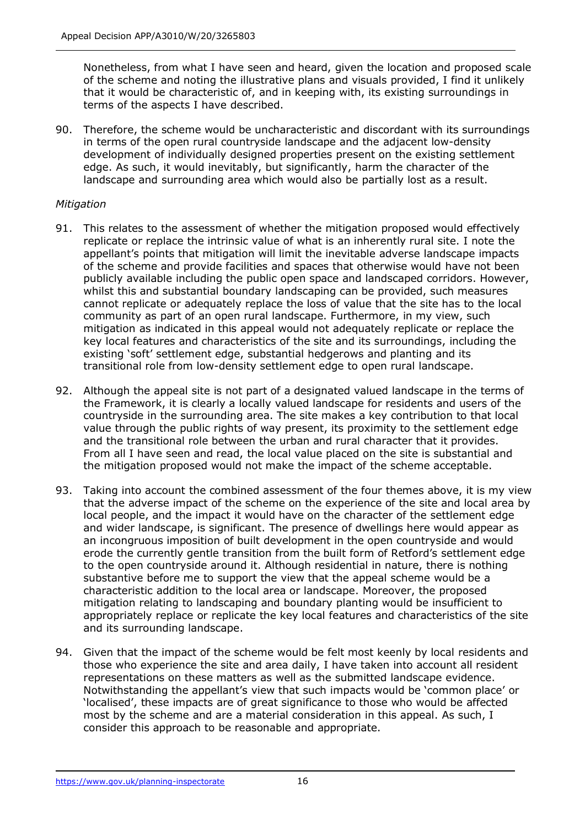Nonetheless, from what I have seen and heard, given the location and proposed scale of the scheme and noting the illustrative plans and visuals provided, I find it unlikely that it would be characteristic of, and in keeping with, its existing surroundings in terms of the aspects I have described.

90. Therefore, the scheme would be uncharacteristic and discordant with its surroundings in terms of the open rural countryside landscape and the adjacent low-density development of individually designed properties present on the existing settlement edge. As such, it would inevitably, but significantly, harm the character of the landscape and surrounding area which would also be partially lost as a result.

## *Mitigation*

- 91. This relates to the assessment of whether the mitigation proposed would effectively replicate or replace the intrinsic value of what is an inherently rural site. I note the appellant's points that mitigation will limit the inevitable adverse landscape impacts of the scheme and provide facilities and spaces that otherwise would have not been publicly available including the public open space and landscaped corridors. However, whilst this and substantial boundary landscaping can be provided, such measures cannot replicate or adequately replace the loss of value that the site has to the local community as part of an open rural landscape. Furthermore, in my view, such mitigation as indicated in this appeal would not adequately replicate or replace the key local features and characteristics of the site and its surroundings, including the existing 'soft' settlement edge, substantial hedgerows and planting and its transitional role from low-density settlement edge to open rural landscape.
- 92. Although the appeal site is not part of a designated valued landscape in the terms of the Framework, it is clearly a locally valued landscape for residents and users of the countryside in the surrounding area. The site makes a key contribution to that local value through the public rights of way present, its proximity to the settlement edge and the transitional role between the urban and rural character that it provides. From all I have seen and read, the local value placed on the site is substantial and the mitigation proposed would not make the impact of the scheme acceptable.
- 93. Taking into account the combined assessment of the four themes above, it is my view that the adverse impact of the scheme on the experience of the site and local area by local people, and the impact it would have on the character of the settlement edge and wider landscape, is significant. The presence of dwellings here would appear as an incongruous imposition of built development in the open countryside and would erode the currently gentle transition from the built form of Retford's settlement edge to the open countryside around it. Although residential in nature, there is nothing substantive before me to support the view that the appeal scheme would be a characteristic addition to the local area or landscape. Moreover, the proposed mitigation relating to landscaping and boundary planting would be insufficient to appropriately replace or replicate the key local features and characteristics of the site and its surrounding landscape.
- 94. Given that the impact of the scheme would be felt most keenly by local residents and those who experience the site and area daily, I have taken into account all resident representations on these matters as well as the submitted landscape evidence. Notwithstanding the appellant's view that such impacts would be 'common place' or 'localised', these impacts are of great significance to those who would be affected most by the scheme and are a material consideration in this appeal. As such, I consider this approach to be reasonable and appropriate.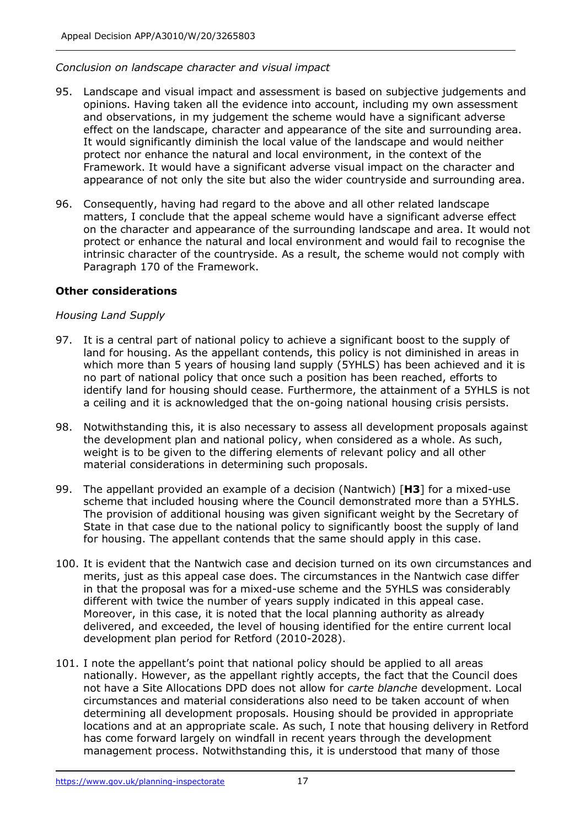#### *Conclusion on landscape character and visual impact*

- 95. Landscape and visual impact and assessment is based on subjective judgements and opinions. Having taken all the evidence into account, including my own assessment and observations, in my judgement the scheme would have a significant adverse effect on the landscape, character and appearance of the site and surrounding area. It would significantly diminish the local value of the landscape and would neither protect nor enhance the natural and local environment, in the context of the Framework. It would have a significant adverse visual impact on the character and appearance of not only the site but also the wider countryside and surrounding area.
- 96. Consequently, having had regard to the above and all other related landscape matters, I conclude that the appeal scheme would have a significant adverse effect on the character and appearance of the surrounding landscape and area. It would not protect or enhance the natural and local environment and would fail to recognise the intrinsic character of the countryside. As a result, the scheme would not comply with Paragraph 170 of the Framework.

#### **Other considerations**

#### *Housing Land Supply*

- 97. It is a central part of national policy to achieve a significant boost to the supply of land for housing. As the appellant contends, this policy is not diminished in areas in which more than 5 years of housing land supply (5YHLS) has been achieved and it is no part of national policy that once such a position has been reached, efforts to identify land for housing should cease. Furthermore, the attainment of a 5YHLS is not a ceiling and it is acknowledged that the on-going national housing crisis persists.
- 98. Notwithstanding this, it is also necessary to assess all development proposals against the development plan and national policy, when considered as a whole. As such, weight is to be given to the differing elements of relevant policy and all other material considerations in determining such proposals.
- 99. The appellant provided an example of a decision (Nantwich) [**H3**] for a mixed-use scheme that included housing where the Council demonstrated more than a 5YHLS. The provision of additional housing was given significant weight by the Secretary of State in that case due to the national policy to significantly boost the supply of land for housing. The appellant contends that the same should apply in this case.
- 100. It is evident that the Nantwich case and decision turned on its own circumstances and merits, just as this appeal case does. The circumstances in the Nantwich case differ in that the proposal was for a mixed-use scheme and the 5YHLS was considerably different with twice the number of years supply indicated in this appeal case. Moreover, in this case, it is noted that the local planning authority as already delivered, and exceeded, the level of housing identified for the entire current local development plan period for Retford (2010-2028).
- 101. I note the appellant's point that national policy should be applied to all areas nationally. However, as the appellant rightly accepts, the fact that the Council does not have a Site Allocations DPD does not allow for *carte blanche* development. Local circumstances and material considerations also need to be taken account of when determining all development proposals. Housing should be provided in appropriate locations and at an appropriate scale. As such, I note that housing delivery in Retford has come forward largely on windfall in recent years through the development management process. Notwithstanding this, it is understood that many of those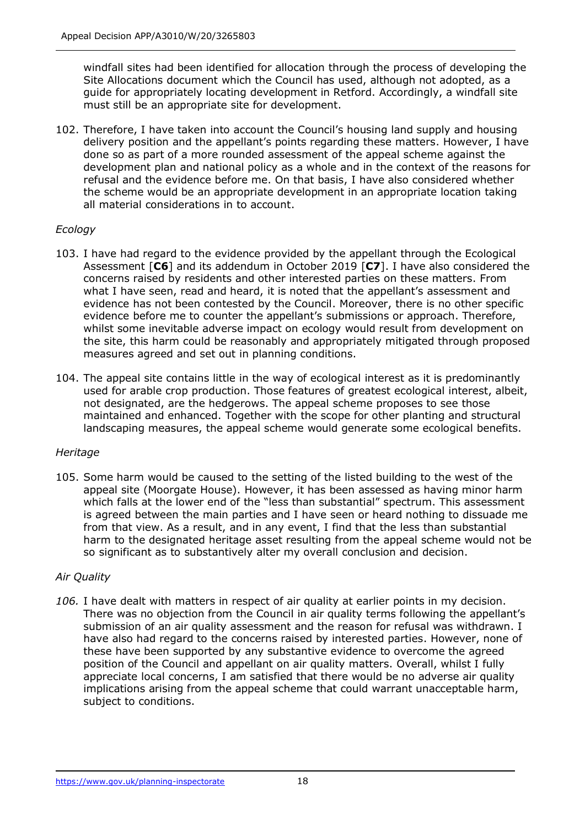windfall sites had been identified for allocation through the process of developing the Site Allocations document which the Council has used, although not adopted, as a guide for appropriately locating development in Retford. Accordingly, a windfall site must still be an appropriate site for development.

102. Therefore, I have taken into account the Council's housing land supply and housing delivery position and the appellant's points regarding these matters. However, I have done so as part of a more rounded assessment of the appeal scheme against the development plan and national policy as a whole and in the context of the reasons for refusal and the evidence before me. On that basis, I have also considered whether the scheme would be an appropriate development in an appropriate location taking all material considerations in to account.

## *Ecology*

- 103. I have had regard to the evidence provided by the appellant through the Ecological Assessment [**C6**] and its addendum in October 2019 [**C7**]. I have also considered the concerns raised by residents and other interested parties on these matters. From what I have seen, read and heard, it is noted that the appellant's assessment and evidence has not been contested by the Council. Moreover, there is no other specific evidence before me to counter the appellant's submissions or approach. Therefore, whilst some inevitable adverse impact on ecology would result from development on the site, this harm could be reasonably and appropriately mitigated through proposed measures agreed and set out in planning conditions.
- 104. The appeal site contains little in the way of ecological interest as it is predominantly used for arable crop production. Those features of greatest ecological interest, albeit, not designated, are the hedgerows. The appeal scheme proposes to see those maintained and enhanced. Together with the scope for other planting and structural landscaping measures, the appeal scheme would generate some ecological benefits.

## *Heritage*

105. Some harm would be caused to the setting of the listed building to the west of the appeal site (Moorgate House). However, it has been assessed as having minor harm which falls at the lower end of the "less than substantial" spectrum. This assessment is agreed between the main parties and I have seen or heard nothing to dissuade me from that view. As a result, and in any event, I find that the less than substantial harm to the designated heritage asset resulting from the appeal scheme would not be so significant as to substantively alter my overall conclusion and decision.

## *Air Quality*

*106.* I have dealt with matters in respect of air quality at earlier points in my decision. There was no objection from the Council in air quality terms following the appellant's submission of an air quality assessment and the reason for refusal was withdrawn. I have also had regard to the concerns raised by interested parties. However, none of these have been supported by any substantive evidence to overcome the agreed position of the Council and appellant on air quality matters. Overall, whilst I fully appreciate local concerns, I am satisfied that there would be no adverse air quality implications arising from the appeal scheme that could warrant unacceptable harm, subject to conditions.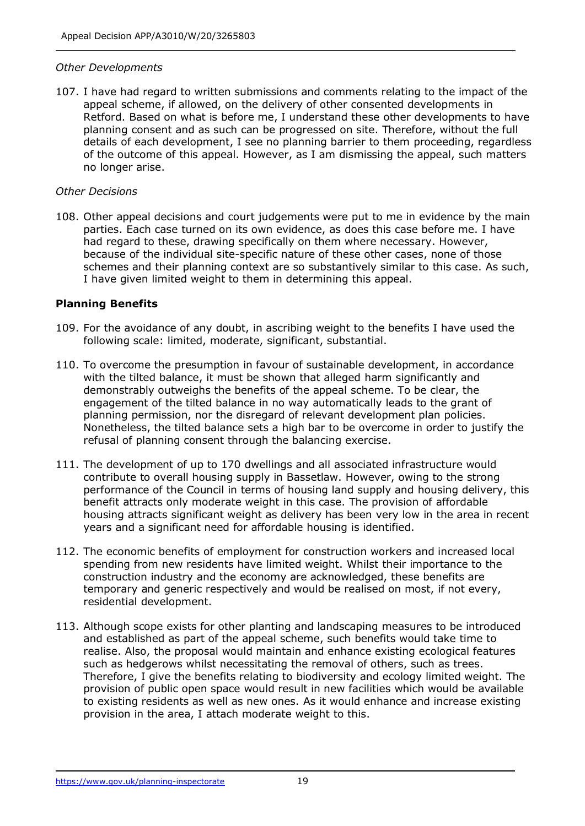#### *Other Developments*

107. I have had regard to written submissions and comments relating to the impact of the appeal scheme, if allowed, on the delivery of other consented developments in Retford. Based on what is before me, I understand these other developments to have planning consent and as such can be progressed on site. Therefore, without the full details of each development, I see no planning barrier to them proceeding, regardless of the outcome of this appeal. However, as I am dismissing the appeal, such matters no longer arise.

#### *Other Decisions*

108. Other appeal decisions and court judgements were put to me in evidence by the main parties. Each case turned on its own evidence, as does this case before me. I have had regard to these, drawing specifically on them where necessary. However, because of the individual site-specific nature of these other cases, none of those schemes and their planning context are so substantively similar to this case. As such, I have given limited weight to them in determining this appeal.

## **Planning Benefits**

- 109. For the avoidance of any doubt, in ascribing weight to the benefits I have used the following scale: limited, moderate, significant, substantial.
- 110. To overcome the presumption in favour of sustainable development, in accordance with the tilted balance, it must be shown that alleged harm significantly and demonstrably outweighs the benefits of the appeal scheme. To be clear, the engagement of the tilted balance in no way automatically leads to the grant of planning permission, nor the disregard of relevant development plan policies. Nonetheless, the tilted balance sets a high bar to be overcome in order to justify the refusal of planning consent through the balancing exercise.
- 111. The development of up to 170 dwellings and all associated infrastructure would contribute to overall housing supply in Bassetlaw. However, owing to the strong performance of the Council in terms of housing land supply and housing delivery, this benefit attracts only moderate weight in this case. The provision of affordable housing attracts significant weight as delivery has been very low in the area in recent years and a significant need for affordable housing is identified.
- 112. The economic benefits of employment for construction workers and increased local spending from new residents have limited weight. Whilst their importance to the construction industry and the economy are acknowledged, these benefits are temporary and generic respectively and would be realised on most, if not every, residential development.
- 113. Although scope exists for other planting and landscaping measures to be introduced and established as part of the appeal scheme, such benefits would take time to realise. Also, the proposal would maintain and enhance existing ecological features such as hedgerows whilst necessitating the removal of others, such as trees. Therefore, I give the benefits relating to biodiversity and ecology limited weight. The provision of public open space would result in new facilities which would be available to existing residents as well as new ones. As it would enhance and increase existing provision in the area, I attach moderate weight to this.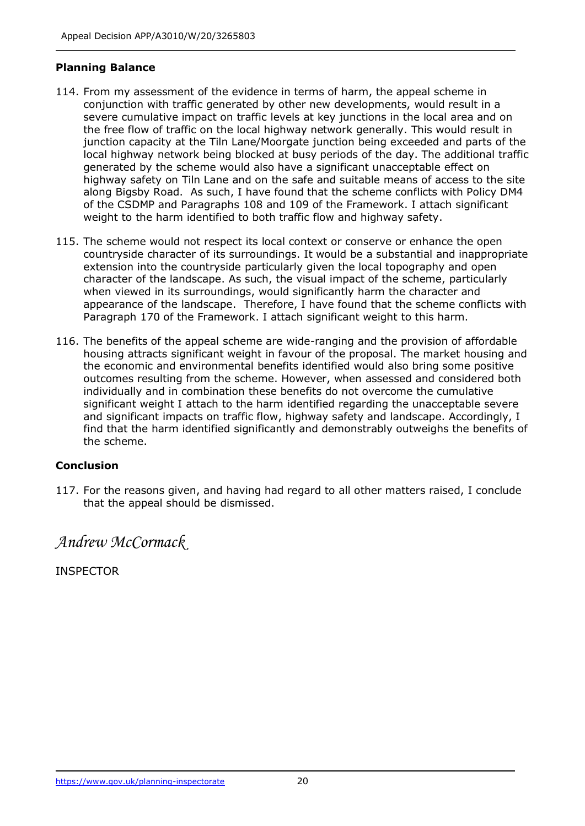## **Planning Balance**

- 114. From my assessment of the evidence in terms of harm, the appeal scheme in conjunction with traffic generated by other new developments, would result in a severe cumulative impact on traffic levels at key junctions in the local area and on the free flow of traffic on the local highway network generally. This would result in junction capacity at the Tiln Lane/Moorgate junction being exceeded and parts of the local highway network being blocked at busy periods of the day. The additional traffic generated by the scheme would also have a significant unacceptable effect on highway safety on Tiln Lane and on the safe and suitable means of access to the site along Bigsby Road. As such, I have found that the scheme conflicts with Policy DM4 of the CSDMP and Paragraphs 108 and 109 of the Framework. I attach significant weight to the harm identified to both traffic flow and highway safety.
- 115. The scheme would not respect its local context or conserve or enhance the open countryside character of its surroundings. It would be a substantial and inappropriate extension into the countryside particularly given the local topography and open character of the landscape. As such, the visual impact of the scheme, particularly when viewed in its surroundings, would significantly harm the character and appearance of the landscape. Therefore, I have found that the scheme conflicts with Paragraph 170 of the Framework. I attach significant weight to this harm.
- 116. The benefits of the appeal scheme are wide-ranging and the provision of affordable housing attracts significant weight in favour of the proposal. The market housing and the economic and environmental benefits identified would also bring some positive outcomes resulting from the scheme. However, when assessed and considered both individually and in combination these benefits do not overcome the cumulative significant weight I attach to the harm identified regarding the unacceptable severe and significant impacts on traffic flow, highway safety and landscape. Accordingly, I find that the harm identified significantly and demonstrably outweighs the benefits of the scheme.

## **Conclusion**

117. For the reasons given, and having had regard to all other matters raised, I conclude that the appeal should be dismissed.

*Andrew McCormack*

INSPECTOR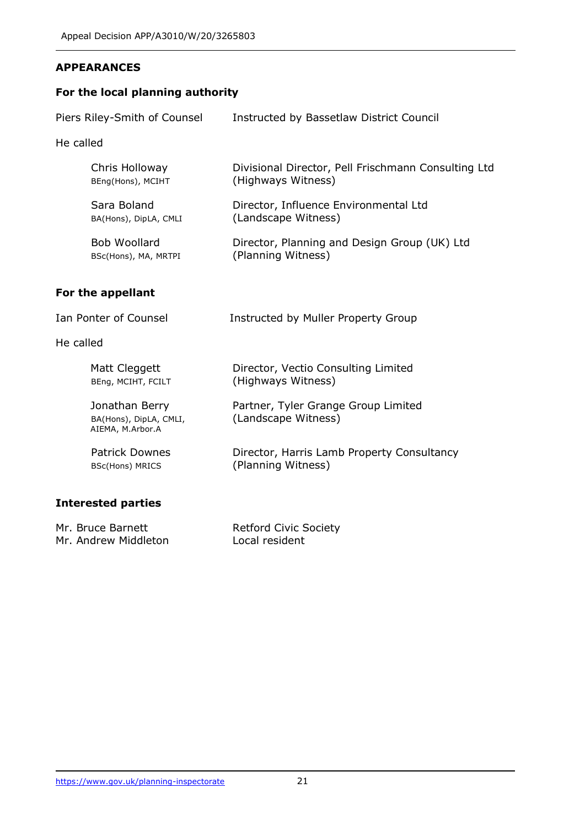## **APPEARANCES**

## **For the local planning authority**

| Piers Riley-Smith of Counsel         | Instructed by Bassetlaw District Council                                  |  |
|--------------------------------------|---------------------------------------------------------------------------|--|
| He called                            |                                                                           |  |
| Chris Holloway<br>BEng(Hons), MCIHT  | Divisional Director, Pell Frischmann Consulting Ltd<br>(Highways Witness) |  |
| Sara Boland<br>BA(Hons), DipLA, CMLI | Director, Influence Environmental Ltd<br>(Landscape Witness)              |  |
| Bob Woollard<br>BSc(Hons), MA, MRTPI | Director, Planning and Design Group (UK) Ltd<br>(Planning Witness)        |  |
| For the appellant                    |                                                                           |  |
| Ian Ponter of Counsel                | Instructed by Muller Property Group                                       |  |
| He called                            |                                                                           |  |
| $M \sim H$ $C$ $A \sim A \sim H$     | Director <i>Vootie Capeulting</i> Limited                                 |  |

| Matt Cleggett                                                | Director, Vectio Consulting Limited                        |
|--------------------------------------------------------------|------------------------------------------------------------|
| BEng, MCIHT, FCILT                                           | (Highways Witness)                                         |
| Jonathan Berry<br>BA(Hons), DipLA, CMLI,<br>AIEMA, M.Arbor.A | Partner, Tyler Grange Group Limited<br>(Landscape Witness) |
| <b>Patrick Downes</b>                                        | Director, Harris Lamb Property Consultancy                 |
| <b>BSc(Hons) MRICS</b>                                       | (Planning Witness)                                         |

# **Interested parties**

| Mr. Bruce Barnett    | <b>Retford Civic Society</b> |
|----------------------|------------------------------|
| Mr. Andrew Middleton | Local resident               |